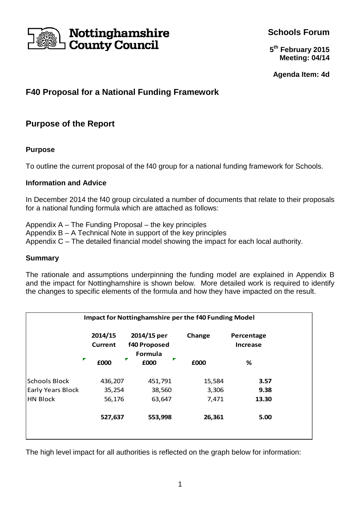

**Schools Forum**

**5 th February 2015 Meeting: 04/14**

**Agenda Item: 4d**

# **F40 Proposal for a National Funding Framework**

### **Purpose of the Report**

#### **Purpose**

To outline the current proposal of the f40 group for a national funding framework for Schools.

#### **Information and Advice**

In December 2014 the f40 group circulated a number of documents that relate to their proposals for a national funding formula which are attached as follows:

Appendix A – The Funding Proposal – the key principles Appendix B – A Technical Note in support of the key principles Appendix C – The detailed financial model showing the impact for each local authority.

#### **Summary**

The rationale and assumptions underpinning the funding model are explained in Appendix B and the impact for Nottinghamshire is shown below. More detailed work is required to identify the changes to specific elements of the formula and how they have impacted on the result.

| Impact for Nottinghamshire per the f40 Funding Model |                           |                                        |        |                               |
|------------------------------------------------------|---------------------------|----------------------------------------|--------|-------------------------------|
|                                                      | 2014/15<br><b>Current</b> | 2014/15 per<br>f40 Proposed<br>Formula | Change | Percentage<br><b>Increase</b> |
| Г                                                    | ₽<br>£000                 | Г<br>£000                              | £000   | %                             |
| <b>Schools Block</b>                                 | 436,207                   | 451,791                                | 15,584 | 3.57                          |
| <b>Early Years Block</b>                             | 35,254                    | 38,560                                 | 3,306  | 9.38                          |
| <b>HN Block</b>                                      | 56,176                    | 63,647                                 | 7,471  | 13.30                         |
|                                                      | 527,637                   | 553,998                                | 26,361 | 5.00                          |
|                                                      |                           |                                        |        |                               |

The high level impact for all authorities is reflected on the graph below for information: